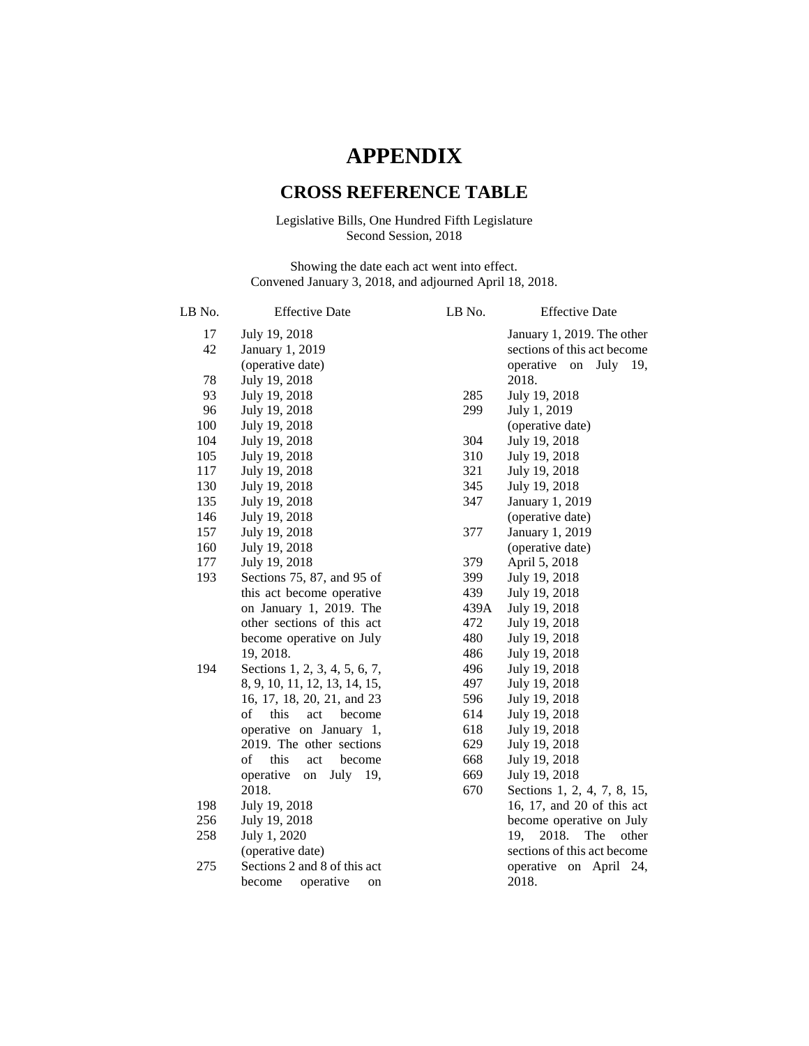## **APPENDIX**

## **CROSS REFERENCE TABLE**

## Legislative Bills, One Hundred Fifth Legislature Second Session, 2018

Showing the date each act went into effect. Convened January 3, 2018, and adjourned April 18, 2018.

| LB No. | <b>Effective Date</b>         | LB No. | <b>Effective Date</b>        |
|--------|-------------------------------|--------|------------------------------|
| 17     | July 19, 2018                 |        | January 1, 2019. The other   |
| 42     | January 1, 2019               |        | sections of this act become  |
|        | (operative date)              |        | July 19,<br>operative on     |
| 78     | July 19, 2018                 |        | 2018.                        |
| 93     | July 19, 2018                 | 285    | July 19, 2018                |
| 96     | July 19, 2018                 | 299    | July 1, 2019                 |
| 100    | July 19, 2018                 |        | (operative date)             |
| 104    | July 19, 2018                 | 304    | July 19, 2018                |
| 105    | July 19, 2018                 | 310    | July 19, 2018                |
| 117    | July 19, 2018                 | 321    | July 19, 2018                |
| 130    | July 19, 2018                 | 345    | July 19, 2018                |
| 135    | July 19, 2018                 | 347    | January 1, 2019              |
| 146    | July 19, 2018                 |        | (operative date)             |
| 157    | July 19, 2018                 | 377    | January 1, 2019              |
| 160    | July 19, 2018                 |        | (operative date)             |
| 177    | July 19, 2018                 | 379    | April 5, 2018                |
| 193    | Sections 75, 87, and 95 of    | 399    | July 19, 2018                |
|        | this act become operative     | 439    | July 19, 2018                |
|        | on January 1, 2019. The       | 439A   | July 19, 2018                |
|        | other sections of this act    | 472    | July 19, 2018                |
|        | become operative on July      | 480    | July 19, 2018                |
|        | 19, 2018.                     | 486    | July 19, 2018                |
| 194    | Sections 1, 2, 3, 4, 5, 6, 7, | 496    | July 19, 2018                |
|        | 8, 9, 10, 11, 12, 13, 14, 15, | 497    | July 19, 2018                |
|        | 16, 17, 18, 20, 21, and 23    | 596    | July 19, 2018                |
|        | of<br>this<br>act<br>become   | 614    | July 19, 2018                |
|        | operative on January 1,       | 618    | July 19, 2018                |
|        | 2019. The other sections      | 629    | July 19, 2018                |
|        | of<br>this<br>act<br>become   | 668    | July 19, 2018                |
|        | operative<br>July 19,<br>on   | 669    | July 19, 2018                |
|        | 2018.                         | 670    | Sections 1, 2, 4, 7, 8, 15,  |
| 198    | July 19, 2018                 |        | 16, 17, and 20 of this act   |
| 256    | July 19, 2018                 |        | become operative on July     |
| 258    | July 1, 2020                  |        | 2018.<br>The<br>19,<br>other |
|        | (operative date)              |        | sections of this act become  |
| 275    | Sections 2 and 8 of this act  |        | operative on April<br>24.    |
|        | operative<br>become<br>on     |        | 2018.                        |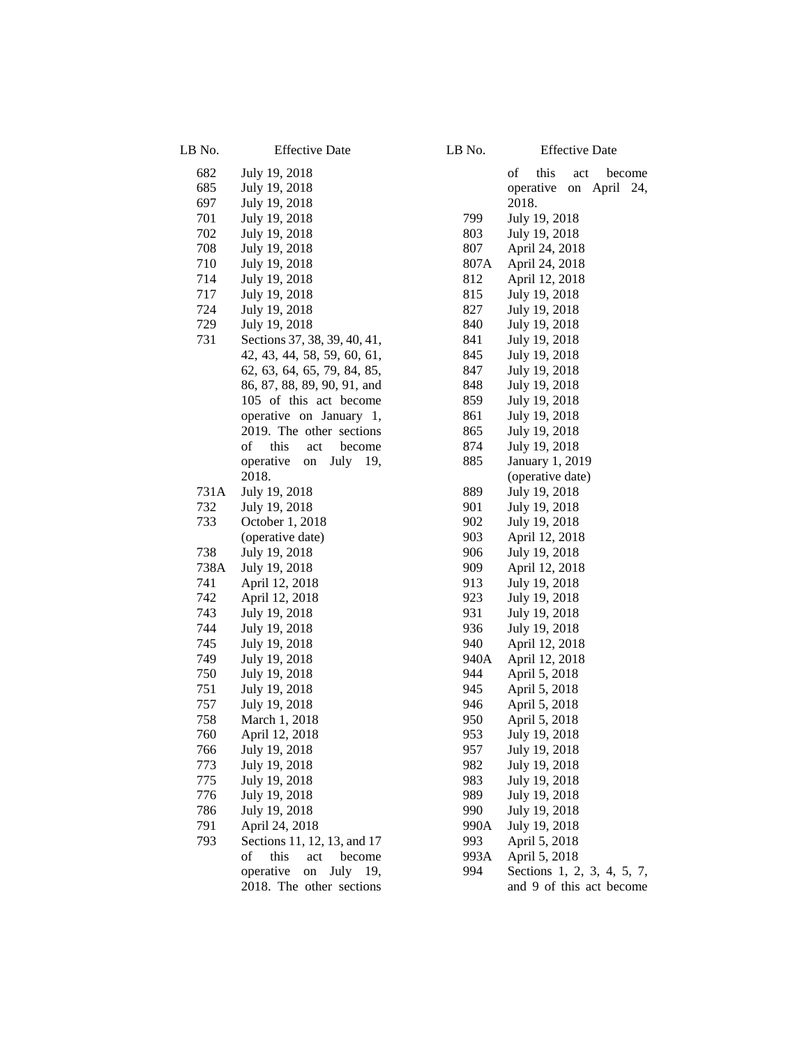| LB No.     | <b>Effective Date</b>          | LB No.      | <b>Effective Date</b>           |
|------------|--------------------------------|-------------|---------------------------------|
| 682        | July 19, 2018                  |             | of<br>this<br>act<br>become     |
| 685        | July 19, 2018                  |             | operative on April 24,          |
| 697        | July 19, 2018                  |             | 2018.                           |
| 701        | July 19, 2018                  | 799         | July 19, 2018                   |
| 702        | July 19, 2018                  | 803         | July 19, 2018                   |
| 708        | July 19, 2018                  | 807         | April 24, 2018                  |
| 710        | July 19, 2018                  | 807A        | April 24, 2018                  |
| 714        | July 19, 2018                  | 812         | April 12, 2018                  |
| 717        | July 19, 2018                  | 815         | July 19, 2018                   |
| 724        | July 19, 2018                  | 827         | July 19, 2018                   |
| 729        | July 19, 2018                  | 840         | July 19, 2018                   |
| 731        | Sections 37, 38, 39, 40, 41,   | 841         | July 19, 2018                   |
|            | 42, 43, 44, 58, 59, 60, 61,    | 845         | July 19, 2018                   |
|            | 62, 63, 64, 65, 79, 84, 85,    | 847         | July 19, 2018                   |
|            | 86, 87, 88, 89, 90, 91, and    | 848         | July 19, 2018                   |
|            | 105 of this act become         | 859         | July 19, 2018                   |
|            | operative on January 1,        | 861         | July 19, 2018                   |
|            | 2019. The other sections       | 865         | July 19, 2018                   |
|            | of<br>this<br>act<br>become    | 874         | July 19, 2018                   |
|            | operative<br>July 19,<br>on    | 885         | January 1, 2019                 |
|            | 2018.                          |             | (operative date)                |
| 731A       | July 19, 2018                  | 889         | July 19, 2018                   |
| 732        | July 19, 2018                  | 901         | July 19, 2018                   |
| 733        | October 1, 2018                | 902         | July 19, 2018                   |
|            | (operative date)               | 903         | April 12, 2018                  |
| 738        | July 19, 2018                  | 906         | July 19, 2018                   |
| 738A       | July 19, 2018                  | 909         | April 12, 2018                  |
| 741        | April 12, 2018                 | 913         | July 19, 2018                   |
| 742        | April 12, 2018                 | 923         | July 19, 2018                   |
| 743        | July 19, 2018                  | 931         | July 19, 2018                   |
| 744<br>745 | July 19, 2018                  | 936         | July 19, 2018                   |
| 749        | July 19, 2018                  | 940<br>940A | April 12, 2018                  |
| 750        | July 19, 2018<br>July 19, 2018 | 944         | April 12, 2018<br>April 5, 2018 |
| 751        | July 19, 2018                  | 945         | April 5, 2018                   |
| 757        | July 19, 2018                  | 946         | April 5, 2018                   |
| 758        | March 1, 2018                  | 950         | April 5, 2018                   |
| 760        | April 12, 2018                 | 953         | July 19, 2018                   |
| 766        | July 19, 2018                  | 957         | July 19, 2018                   |
| 773        | July 19, 2018                  | 982         | July 19, 2018                   |
| 775        | July 19, 2018                  | 983         | July 19, 2018                   |
| 776        | July 19, 2018                  | 989         | July 19, 2018                   |
| 786        | July 19, 2018                  | 990         | July 19, 2018                   |
| 791        | April 24, 2018                 | 990A        | July 19, 2018                   |
| 793        | Sections 11, 12, 13, and 17    | 993         | April 5, 2018                   |
|            | this<br>of<br>act<br>become    | 993A        | April 5, 2018                   |
|            | operative<br>July 19,<br>on    | 994         | Sections 1, 2, 3, 4, 5, 7,      |
|            | 2018. The other sections       |             | and 9 of this act become        |